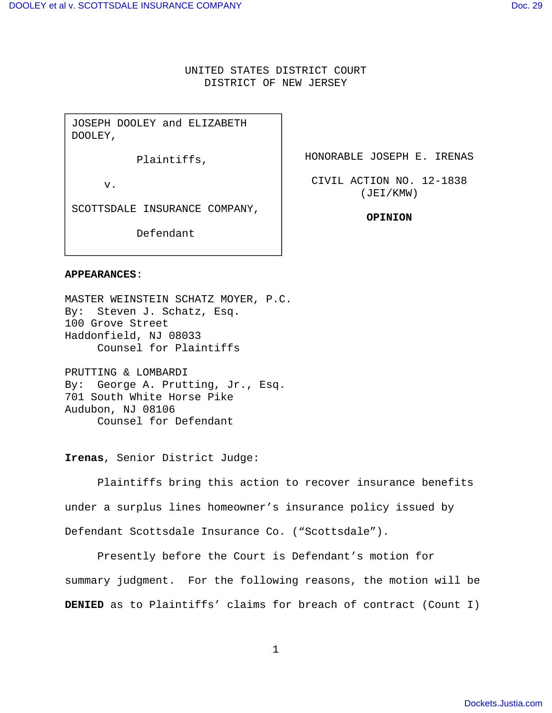# UNITED STATES DISTRICT COURT DISTRICT OF NEW JERSEY

JOSEPH DOOLEY and ELIZABETH DOOLEY,

Plaintiffs,

v.

SCOTTSDALE INSURANCE COMPANY,

Defendant

HONORABLE JOSEPH E. IRENAS

CIVIL ACTION NO. 12-1838 (JEI/KMW)

**OPINION** 

## **APPEARANCES**:

MASTER WEINSTEIN SCHATZ MOYER, P.C. By: Steven J. Schatz, Esq. 100 Grove Street Haddonfield, NJ 08033 Counsel for Plaintiffs

PRUTTING & LOMBARDI By: George A. Prutting, Jr., Esq. 701 South White Horse Pike Audubon, NJ 08106 Counsel for Defendant

**Irenas**, Senior District Judge:

Plaintiffs bring this action to recover insurance benefits under a surplus lines homeowner's insurance policy issued by Defendant Scottsdale Insurance Co. ("Scottsdale").

Presently before the Court is Defendant's motion for summary judgment. For the following reasons, the motion will be **DENIED** as to Plaintiffs' claims for breach of contract (Count I)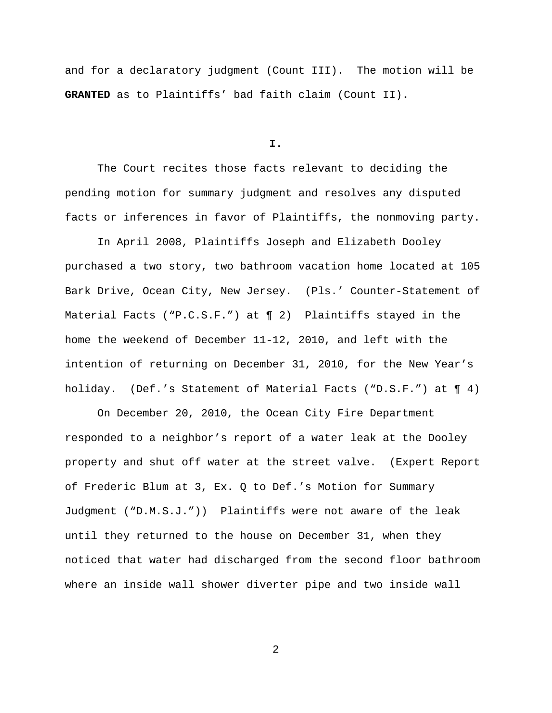and for a declaratory judgment (Count III). The motion will be **GRANTED** as to Plaintiffs' bad faith claim (Count II).

**I.**

The Court recites those facts relevant to deciding the pending motion for summary judgment and resolves any disputed facts or inferences in favor of Plaintiffs, the nonmoving party.

 In April 2008, Plaintiffs Joseph and Elizabeth Dooley purchased a two story, two bathroom vacation home located at 105 Bark Drive, Ocean City, New Jersey. (Pls.' Counter-Statement of Material Facts ("P.C.S.F.") at ¶ 2) Plaintiffs stayed in the home the weekend of December 11-12, 2010, and left with the intention of returning on December 31, 2010, for the New Year's holiday. (Def.'s Statement of Material Facts ("D.S.F.") at ¶ 4)

On December 20, 2010, the Ocean City Fire Department responded to a neighbor's report of a water leak at the Dooley property and shut off water at the street valve. (Expert Report of Frederic Blum at 3, Ex. Q to Def.'s Motion for Summary Judgment ("D.M.S.J.")) Plaintiffs were not aware of the leak until they returned to the house on December 31, when they noticed that water had discharged from the second floor bathroom where an inside wall shower diverter pipe and two inside wall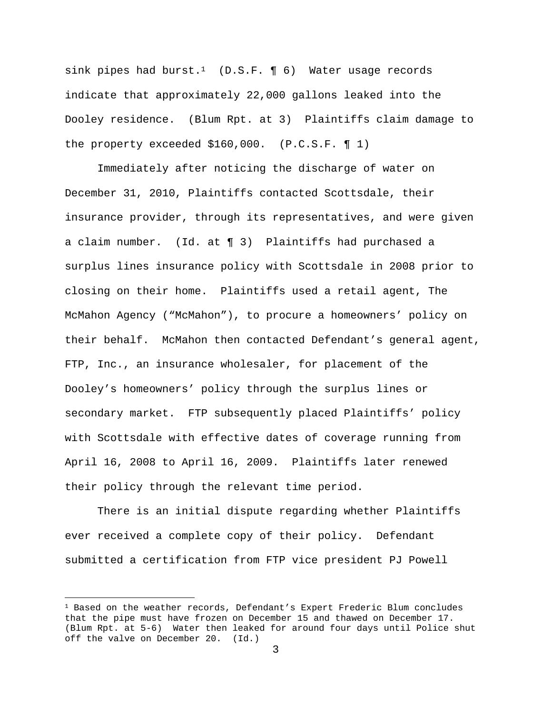sink pipes had burst.<sup>1</sup> (D.S.F.  $\P$  6) Water usage records indicate that approximately 22,000 gallons leaked into the Dooley residence. (Blum Rpt. at 3) Plaintiffs claim damage to the property exceeded \$160,000. (P.C.S.F. ¶ 1)

 Immediately after noticing the discharge of water on December 31, 2010, Plaintiffs contacted Scottsdale, their insurance provider, through its representatives, and were given a claim number. (Id. at ¶ 3) Plaintiffs had purchased a surplus lines insurance policy with Scottsdale in 2008 prior to closing on their home. Plaintiffs used a retail agent, The McMahon Agency ("McMahon"), to procure a homeowners' policy on their behalf. McMahon then contacted Defendant's general agent, FTP, Inc., an insurance wholesaler, for placement of the Dooley's homeowners' policy through the surplus lines or secondary market. FTP subsequently placed Plaintiffs' policy with Scottsdale with effective dates of coverage running from April 16, 2008 to April 16, 2009. Plaintiffs later renewed their policy through the relevant time period.

There is an initial dispute regarding whether Plaintiffs ever received a complete copy of their policy. Defendant submitted a certification from FTP vice president PJ Powell

i

 $1$  Based on the weather records, Defendant's Expert Frederic Blum concludes that the pipe must have frozen on December 15 and thawed on December 17. (Blum Rpt. at 5-6) Water then leaked for around four days until Police shut off the valve on December 20. (Id.)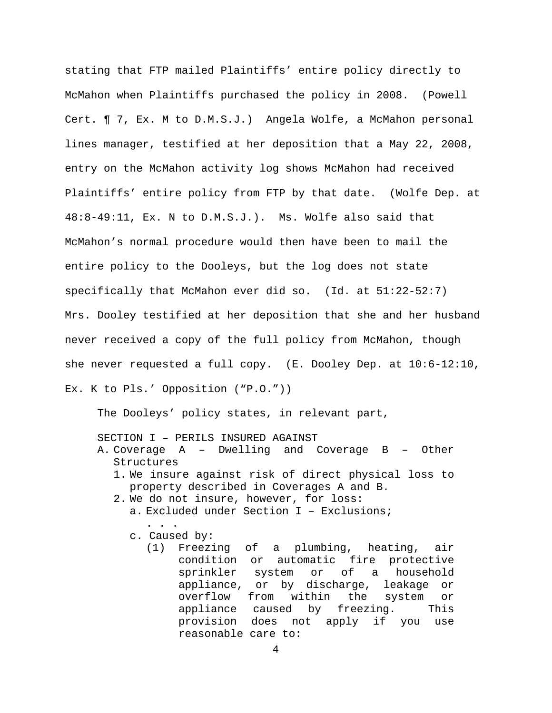stating that FTP mailed Plaintiffs' entire policy directly to McMahon when Plaintiffs purchased the policy in 2008. (Powell Cert. ¶ 7, Ex. M to D.M.S.J.) Angela Wolfe, a McMahon personal lines manager, testified at her deposition that a May 22, 2008, entry on the McMahon activity log shows McMahon had received Plaintiffs' entire policy from FTP by that date. (Wolfe Dep. at 48:8-49:11, Ex. N to D.M.S.J.). Ms. Wolfe also said that McMahon's normal procedure would then have been to mail the entire policy to the Dooleys, but the log does not state specifically that McMahon ever did so. (Id. at 51:22-52:7) Mrs. Dooley testified at her deposition that she and her husband never received a copy of the full policy from McMahon, though she never requested a full copy. (E. Dooley Dep. at 10:6-12:10, Ex. K to Pls.' Opposition ("P.O."))

The Dooleys' policy states, in relevant part,

SECTION I – PERILS INSURED AGAINST

- A. Coverage A Dwelling and Coverage B Other Structures
	- 1. We insure against risk of direct physical loss to property described in Coverages A and B.
	- 2. We do not insure, however, for loss:
		- a. Excluded under Section I Exclusions;
		- c. Caused by:

. . .

(1) Freezing of a plumbing, heating, air condition or automatic fire protective sprinkler system or of a household appliance, or by discharge, leakage or overflow from within the system or appliance caused by freezing. This provision does not apply if you use reasonable care to: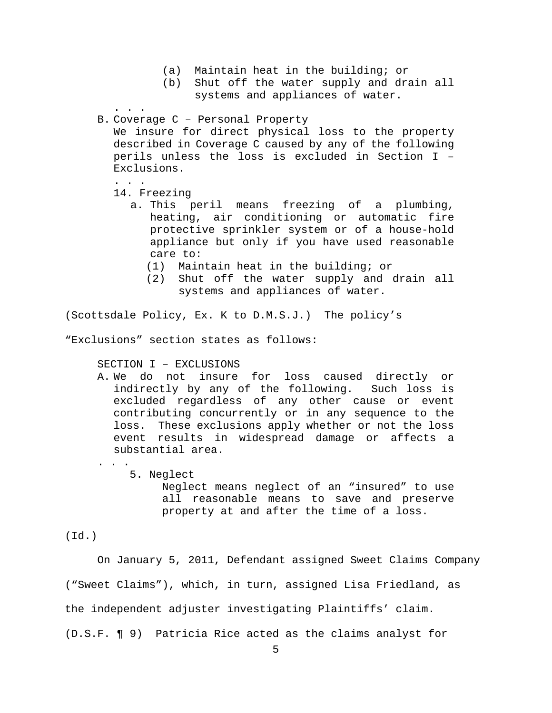- (a) Maintain heat in the building; or
- (b) Shut off the water supply and drain all systems and appliances of water.

. . .

B. Coverage C – Personal Property

We insure for direct physical loss to the property described in Coverage C caused by any of the following perils unless the loss is excluded in Section I – Exclusions.

- . . . 14. Freezing
	- a. This peril means freezing of a plumbing, heating, air conditioning or automatic fire protective sprinkler system or of a house-hold appliance but only if you have used reasonable care to:
		- (1) Maintain heat in the building; or
		- (2) Shut off the water supply and drain all systems and appliances of water.

(Scottsdale Policy, Ex. K to D.M.S.J.) The policy's

"Exclusions" section states as follows:

SECTION I – EXCLUSIONS

- A. We do not insure for loss caused directly or indirectly by any of the following. Such loss is excluded regardless of any other cause or event contributing concurrently or in any sequence to the loss. These exclusions apply whether or not the loss event results in widespread damage or affects a substantial area.
	- $\mathbf{r}$ . 5. Neglect Neglect means neglect of an "insured" to use all reasonable means to save and preserve property at and after the time of a loss.

(Id.)

On January 5, 2011, Defendant assigned Sweet Claims Company ("Sweet Claims"), which, in turn, assigned Lisa Friedland, as the independent adjuster investigating Plaintiffs' claim. (D.S.F. ¶ 9) Patricia Rice acted as the claims analyst for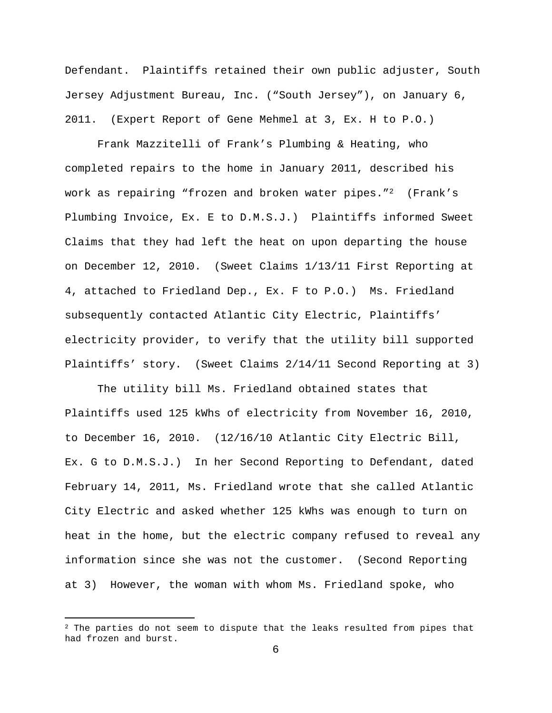Defendant. Plaintiffs retained their own public adjuster, South Jersey Adjustment Bureau, Inc. ("South Jersey"), on January 6, 2011. (Expert Report of Gene Mehmel at 3, Ex. H to P.O.)

 Frank Mazzitelli of Frank's Plumbing & Heating, who completed repairs to the home in January 2011, described his work as repairing "frozen and broken water pipes."2 (Frank's Plumbing Invoice, Ex. E to D.M.S.J.) Plaintiffs informed Sweet Claims that they had left the heat on upon departing the house on December 12, 2010. (Sweet Claims 1/13/11 First Reporting at 4, attached to Friedland Dep., Ex. F to P.O.) Ms. Friedland subsequently contacted Atlantic City Electric, Plaintiffs' electricity provider, to verify that the utility bill supported Plaintiffs' story. (Sweet Claims 2/14/11 Second Reporting at 3)

The utility bill Ms. Friedland obtained states that Plaintiffs used 125 kWhs of electricity from November 16, 2010, to December 16, 2010. (12/16/10 Atlantic City Electric Bill, Ex. G to D.M.S.J.) In her Second Reporting to Defendant, dated February 14, 2011, Ms. Friedland wrote that she called Atlantic City Electric and asked whether 125 kWhs was enough to turn on heat in the home, but the electric company refused to reveal any information since she was not the customer. (Second Reporting at 3) However, the woman with whom Ms. Friedland spoke, who

i

 $2$  The parties do not seem to dispute that the leaks resulted from pipes that had frozen and burst.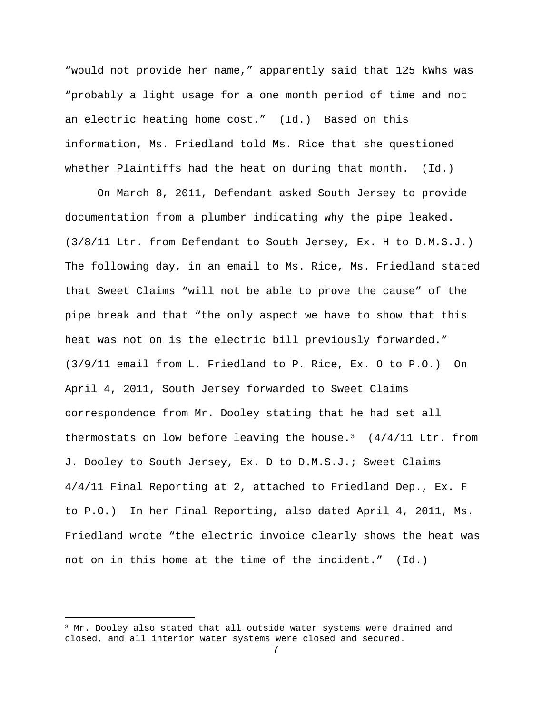"would not provide her name," apparently said that 125 kWhs was "probably a light usage for a one month period of time and not an electric heating home cost." (Id.) Based on this information, Ms. Friedland told Ms. Rice that she questioned whether Plaintiffs had the heat on during that month. (Id.)

 On March 8, 2011, Defendant asked South Jersey to provide documentation from a plumber indicating why the pipe leaked. (3/8/11 Ltr. from Defendant to South Jersey, Ex. H to D.M.S.J.) The following day, in an email to Ms. Rice, Ms. Friedland stated that Sweet Claims "will not be able to prove the cause" of the pipe break and that "the only aspect we have to show that this heat was not on is the electric bill previously forwarded." (3/9/11 email from L. Friedland to P. Rice, Ex. O to P.O.) On April 4, 2011, South Jersey forwarded to Sweet Claims correspondence from Mr. Dooley stating that he had set all thermostats on low before leaving the house.<sup>3</sup> ( $4/4/11$  Ltr. from J. Dooley to South Jersey, Ex. D to D.M.S.J.; Sweet Claims 4/4/11 Final Reporting at 2, attached to Friedland Dep., Ex. F to P.O.) In her Final Reporting, also dated April 4, 2011, Ms. Friedland wrote "the electric invoice clearly shows the heat was not on in this home at the time of the incident." (Id.)

 $\overline{\phantom{0}}$ 

 $3$  Mr. Dooley also stated that all outside water systems were drained and closed, and all interior water systems were closed and secured.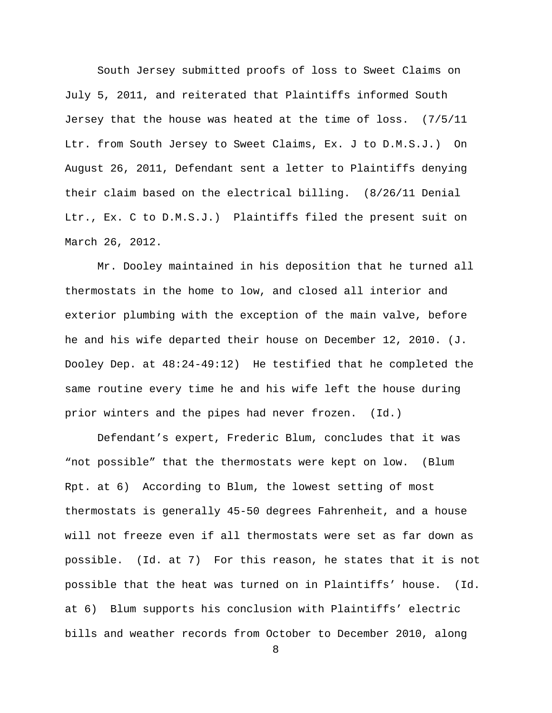South Jersey submitted proofs of loss to Sweet Claims on July 5, 2011, and reiterated that Plaintiffs informed South Jersey that the house was heated at the time of loss. (7/5/11 Ltr. from South Jersey to Sweet Claims, Ex. J to D.M.S.J.) On August 26, 2011, Defendant sent a letter to Plaintiffs denying their claim based on the electrical billing. (8/26/11 Denial Ltr., Ex. C to D.M.S.J.) Plaintiffs filed the present suit on March 26, 2012.

 Mr. Dooley maintained in his deposition that he turned all thermostats in the home to low, and closed all interior and exterior plumbing with the exception of the main valve, before he and his wife departed their house on December 12, 2010. (J. Dooley Dep. at 48:24-49:12) He testified that he completed the same routine every time he and his wife left the house during prior winters and the pipes had never frozen. (Id.)

Defendant's expert, Frederic Blum, concludes that it was "not possible" that the thermostats were kept on low. (Blum Rpt. at 6) According to Blum, the lowest setting of most thermostats is generally 45-50 degrees Fahrenheit, and a house will not freeze even if all thermostats were set as far down as possible. (Id. at 7) For this reason, he states that it is not possible that the heat was turned on in Plaintiffs' house. (Id. at 6) Blum supports his conclusion with Plaintiffs' electric bills and weather records from October to December 2010, along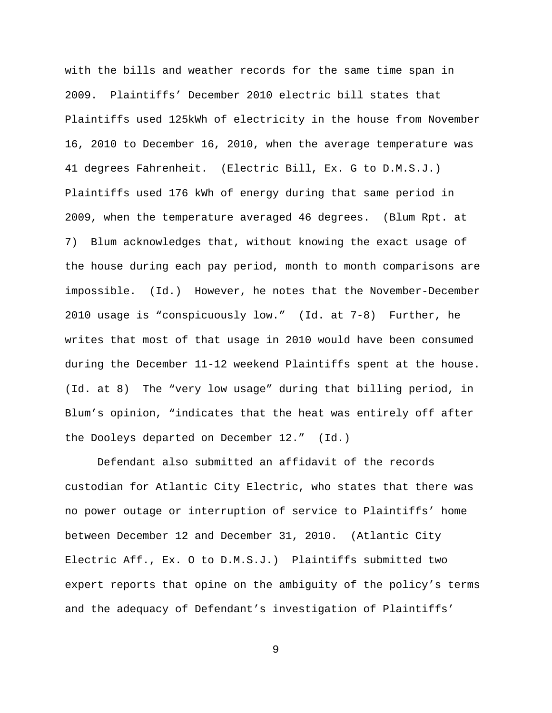with the bills and weather records for the same time span in 2009. Plaintiffs' December 2010 electric bill states that Plaintiffs used 125kWh of electricity in the house from November 16, 2010 to December 16, 2010, when the average temperature was 41 degrees Fahrenheit. (Electric Bill, Ex. G to D.M.S.J.) Plaintiffs used 176 kWh of energy during that same period in 2009, when the temperature averaged 46 degrees. (Blum Rpt. at 7) Blum acknowledges that, without knowing the exact usage of the house during each pay period, month to month comparisons are impossible. (Id.) However, he notes that the November-December 2010 usage is "conspicuously low." (Id. at 7-8) Further, he writes that most of that usage in 2010 would have been consumed during the December 11-12 weekend Plaintiffs spent at the house. (Id. at 8) The "very low usage" during that billing period, in Blum's opinion, "indicates that the heat was entirely off after the Dooleys departed on December 12." (Id.)

Defendant also submitted an affidavit of the records custodian for Atlantic City Electric, who states that there was no power outage or interruption of service to Plaintiffs' home between December 12 and December 31, 2010. (Atlantic City Electric Aff., Ex. O to D.M.S.J.) Plaintiffs submitted two expert reports that opine on the ambiguity of the policy's terms and the adequacy of Defendant's investigation of Plaintiffs'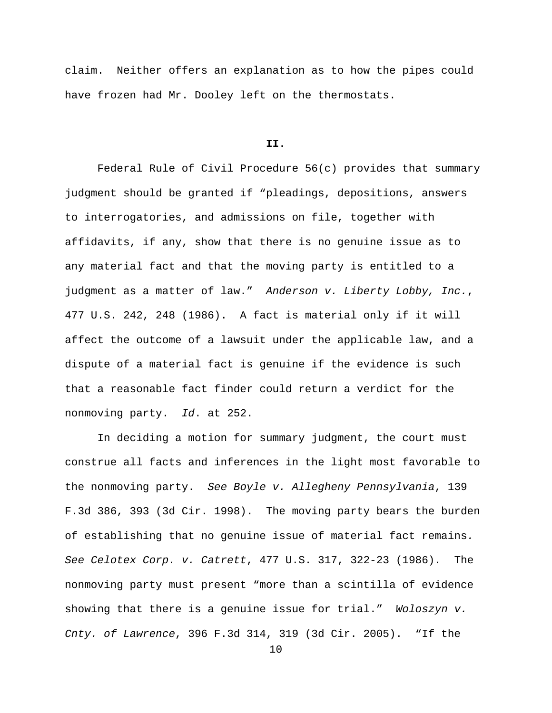claim. Neither offers an explanation as to how the pipes could have frozen had Mr. Dooley left on the thermostats.

## **II.**

Federal Rule of Civil Procedure  $56(c)$  provides that summary judgment should be granted if "pleadings, depositions, answers to interrogatories, and admissions on file, together with affidavits, if any, show that there is no genuine issue as to any material fact and that the moving party is entitled to a judgment as a matter of law." Anderson v. Liberty Lobby, Inc., 477 U.S. 242, 248 (1986). A fact is material only if it will affect the outcome of a lawsuit under the applicable law, and a dispute of a material fact is genuine if the evidence is such that a reasonable fact finder could return a verdict for the nonmoving party. Id. at 252.

In deciding a motion for summary judgment, the court must construe all facts and inferences in the light most favorable to the nonmoving party. See Boyle v. Allegheny Pennsylvania, 139 F.3d 386, 393 (3d Cir. 1998). The moving party bears the burden of establishing that no genuine issue of material fact remains. See Celotex Corp. v. Catrett, 477 U.S. 317, 322-23 (1986). The nonmoving party must present "more than a scintilla of evidence showing that there is a genuine issue for trial." Woloszyn v. Cnty. of Lawrence, 396 F.3d 314, 319 (3d Cir. 2005). "If the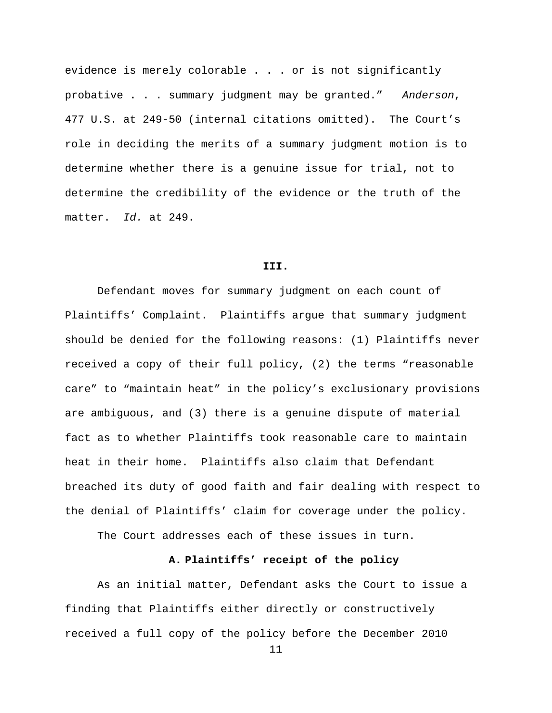evidence is merely colorable . . . or is not significantly probative . . . summary judgment may be granted." Anderson, 477 U.S. at 249-50 (internal citations omitted). The Court's role in deciding the merits of a summary judgment motion is to determine whether there is a genuine issue for trial, not to determine the credibility of the evidence or the truth of the matter. Id. at 249.

#### **III.**

Defendant moves for summary judgment on each count of Plaintiffs' Complaint. Plaintiffs argue that summary judgment should be denied for the following reasons: (1) Plaintiffs never received a copy of their full policy, (2) the terms "reasonable care" to "maintain heat" in the policy's exclusionary provisions are ambiguous, and (3) there is a genuine dispute of material fact as to whether Plaintiffs took reasonable care to maintain heat in their home. Plaintiffs also claim that Defendant breached its duty of good faith and fair dealing with respect to the denial of Plaintiffs' claim for coverage under the policy.

The Court addresses each of these issues in turn.

# **A. Plaintiffs' receipt of the policy**

As an initial matter, Defendant asks the Court to issue a finding that Plaintiffs either directly or constructively received a full copy of the policy before the December 2010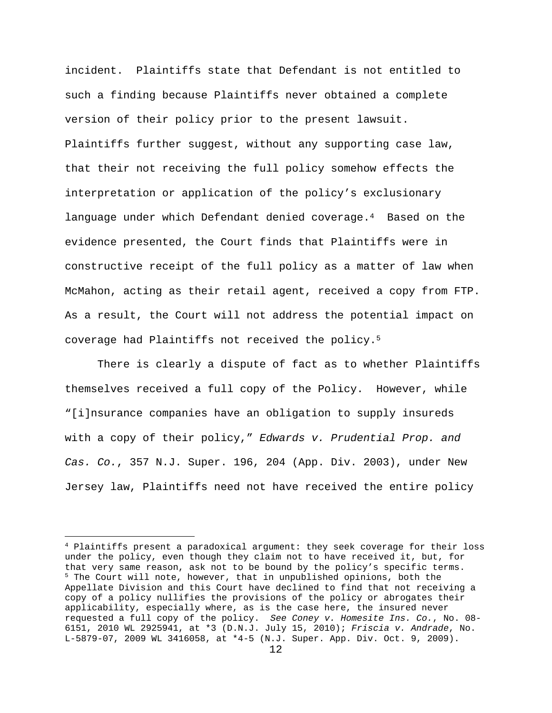incident. Plaintiffs state that Defendant is not entitled to such a finding because Plaintiffs never obtained a complete version of their policy prior to the present lawsuit. Plaintiffs further suggest, without any supporting case law, that their not receiving the full policy somehow effects the interpretation or application of the policy's exclusionary language under which Defendant denied coverage.4 Based on the evidence presented, the Court finds that Plaintiffs were in constructive receipt of the full policy as a matter of law when McMahon, acting as their retail agent, received a copy from FTP. As a result, the Court will not address the potential impact on coverage had Plaintiffs not received the policy.<sup>5</sup>

There is clearly a dispute of fact as to whether Plaintiffs themselves received a full copy of the Policy. However, while "[i]nsurance companies have an obligation to supply insureds with a copy of their policy," Edwards v. Prudential Prop. and Cas. Co., 357 N.J. Super. 196, 204 (App. Div. 2003), under New Jersey law, Plaintiffs need not have received the entire policy

÷,

<sup>4</sup> Plaintiffs present a paradoxical argument: they seek coverage for their loss under the policy, even though they claim not to have received it, but, for that very same reason, ask not to be bound by the policy's specific terms. <sup>5</sup> The Court will note, however, that in unpublished opinions, both the Appellate Division and this Court have declined to find that not receiving a copy of a policy nullifies the provisions of the policy or abrogates their applicability, especially where, as is the case here, the insured never requested a full copy of the policy. See Coney v. Homesite Ins. Co., No. 08- 6151, 2010 WL 2925941, at \*3 (D.N.J. July 15, 2010); Friscia v. Andrade, No. L-5879-07, 2009 WL 3416058, at \*4-5 (N.J. Super. App. Div. Oct. 9, 2009).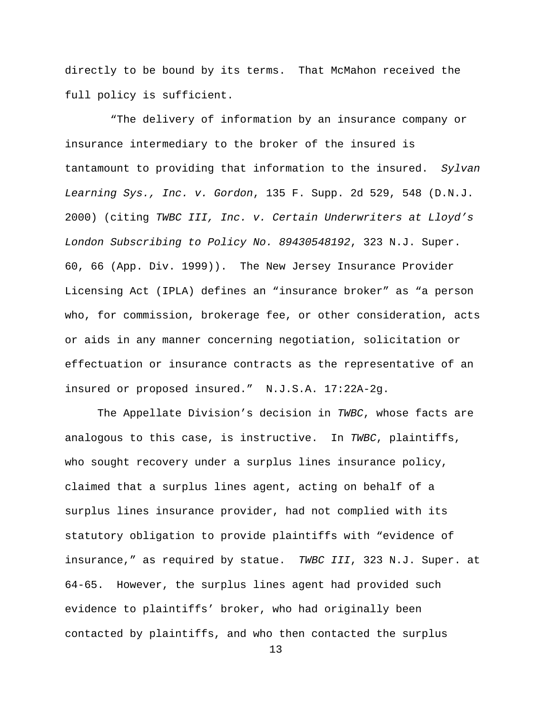directly to be bound by its terms. That McMahon received the full policy is sufficient.

 "The delivery of information by an insurance company or insurance intermediary to the broker of the insured is tantamount to providing that information to the insured. Sylvan Learning Sys., Inc. v. Gordon, 135 F. Supp. 2d 529, 548 (D.N.J. 2000) (citing TWBC III, Inc. v. Certain Underwriters at Lloyd's London Subscribing to Policy No. 89430548192, 323 N.J. Super. 60, 66 (App. Div. 1999)). The New Jersey Insurance Provider Licensing Act (IPLA) defines an "insurance broker" as "a person who, for commission, brokerage fee, or other consideration, acts or aids in any manner concerning negotiation, solicitation or effectuation or insurance contracts as the representative of an insured or proposed insured." N.J.S.A. 17:22A-2g.

The Appellate Division's decision in TWBC, whose facts are analogous to this case, is instructive. In TWBC, plaintiffs, who sought recovery under a surplus lines insurance policy, claimed that a surplus lines agent, acting on behalf of a surplus lines insurance provider, had not complied with its statutory obligation to provide plaintiffs with "evidence of insurance," as required by statue. TWBC III, 323 N.J. Super. at 64-65. However, the surplus lines agent had provided such evidence to plaintiffs' broker, who had originally been contacted by plaintiffs, and who then contacted the surplus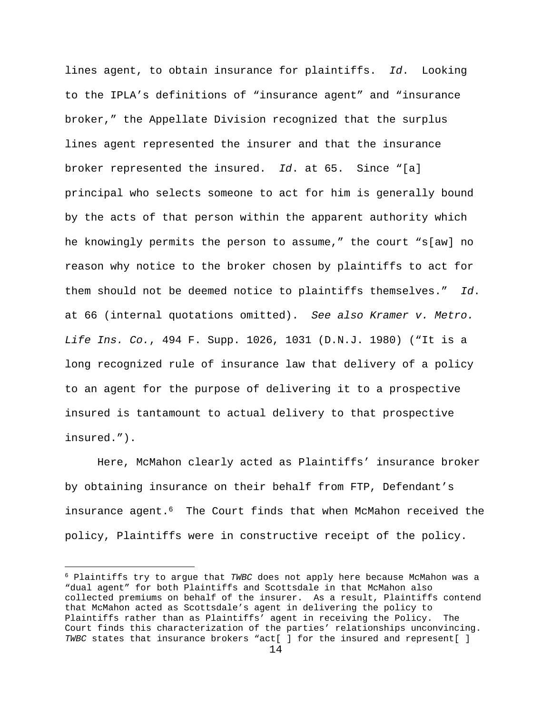lines agent, to obtain insurance for plaintiffs. Id. Looking to the IPLA's definitions of "insurance agent" and "insurance broker," the Appellate Division recognized that the surplus lines agent represented the insurer and that the insurance broker represented the insured.  $Id.$  at 65. Since "[a] principal who selects someone to act for him is generally bound by the acts of that person within the apparent authority which he knowingly permits the person to assume," the court "s[aw] no reason why notice to the broker chosen by plaintiffs to act for them should not be deemed notice to plaintiffs themselves." Id. at 66 (internal quotations omitted). See also Kramer v. Metro. Life Ins. Co., 494 F. Supp. 1026, 1031 (D.N.J. 1980) ("It is a long recognized rule of insurance law that delivery of a policy to an agent for the purpose of delivering it to a prospective insured is tantamount to actual delivery to that prospective insured.").

Here, McMahon clearly acted as Plaintiffs' insurance broker by obtaining insurance on their behalf from FTP, Defendant's insurance agent.6 The Court finds that when McMahon received the policy, Plaintiffs were in constructive receipt of the policy.

 $\overline{\phantom{0}}$ 

 $6$  Plaintiffs try to argue that TWBC does not apply here because McMahon was a "dual agent" for both Plaintiffs and Scottsdale in that McMahon also collected premiums on behalf of the insurer. As a result, Plaintiffs contend that McMahon acted as Scottsdale's agent in delivering the policy to Plaintiffs rather than as Plaintiffs' agent in receiving the Policy. The Court finds this characterization of the parties' relationships unconvincing. TWBC states that insurance brokers "act[ ] for the insured and represent[ ]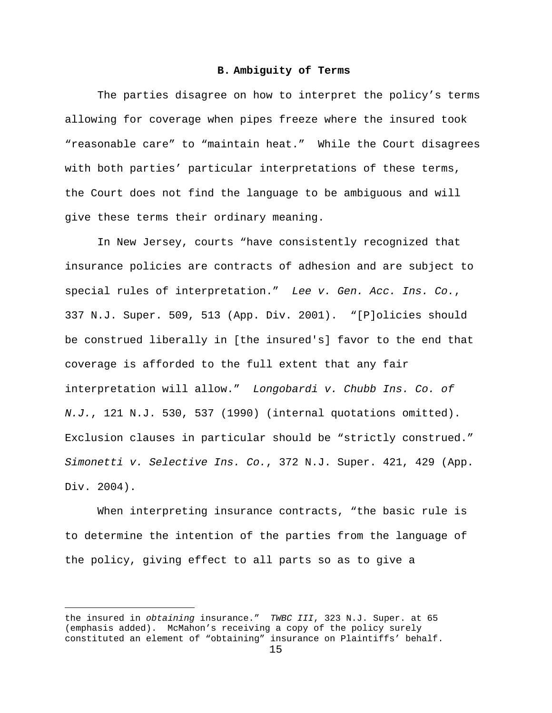## **B. Ambiguity of Terms**

The parties disagree on how to interpret the policy's terms allowing for coverage when pipes freeze where the insured took "reasonable care" to "maintain heat." While the Court disagrees with both parties' particular interpretations of these terms, the Court does not find the language to be ambiguous and will give these terms their ordinary meaning.

 In New Jersey, courts "have consistently recognized that insurance policies are contracts of adhesion and are subject to special rules of interpretation." Lee v. Gen. Acc. Ins. Co., 337 N.J. Super. 509, 513 (App. Div. 2001). "[P]olicies should be construed liberally in [the insured's] favor to the end that coverage is afforded to the full extent that any fair interpretation will allow." Longobardi v. Chubb Ins. Co. of  $N.J.$ , 121 N.J. 530, 537 (1990) (internal quotations omitted). Exclusion clauses in particular should be "strictly construed." Simonetti v. Selective Ins. Co., 372 N.J. Super. 421, 429 (App. Div. 2004).

 When interpreting insurance contracts, "the basic rule is to determine the intention of the parties from the language of the policy, giving effect to all parts so as to give a

 $\overline{\phantom{0}}$ 

the insured in obtaining insurance." TWBC III, 323 N.J. Super. at 65 (emphasis added). McMahon's receiving a copy of the policy surely constituted an element of "obtaining" insurance on Plaintiffs' behalf.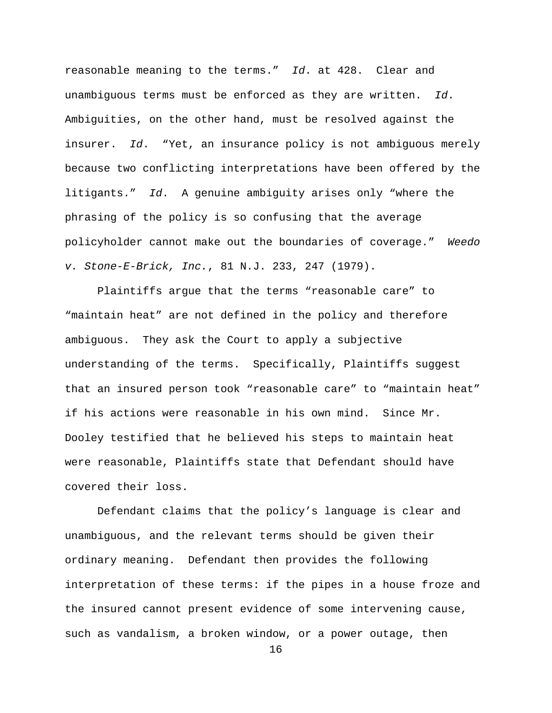reasonable meaning to the terms." Id. at 428. Clear and unambiguous terms must be enforced as they are written.  $Id.$ Ambiguities, on the other hand, must be resolved against the insurer. Id. "Yet, an insurance policy is not ambiguous merely because two conflicting interpretations have been offered by the litigants." Id. A genuine ambiguity arises only "where the phrasing of the policy is so confusing that the average policyholder cannot make out the boundaries of coverage." Weedo v. Stone-E-Brick, Inc., 81 N.J. 233, 247 (1979).

 Plaintiffs argue that the terms "reasonable care" to "maintain heat" are not defined in the policy and therefore ambiguous. They ask the Court to apply a subjective understanding of the terms. Specifically, Plaintiffs suggest that an insured person took "reasonable care" to "maintain heat" if his actions were reasonable in his own mind. Since Mr. Dooley testified that he believed his steps to maintain heat were reasonable, Plaintiffs state that Defendant should have covered their loss.

Defendant claims that the policy's language is clear and unambiguous, and the relevant terms should be given their ordinary meaning. Defendant then provides the following interpretation of these terms: if the pipes in a house froze and the insured cannot present evidence of some intervening cause, such as vandalism, a broken window, or a power outage, then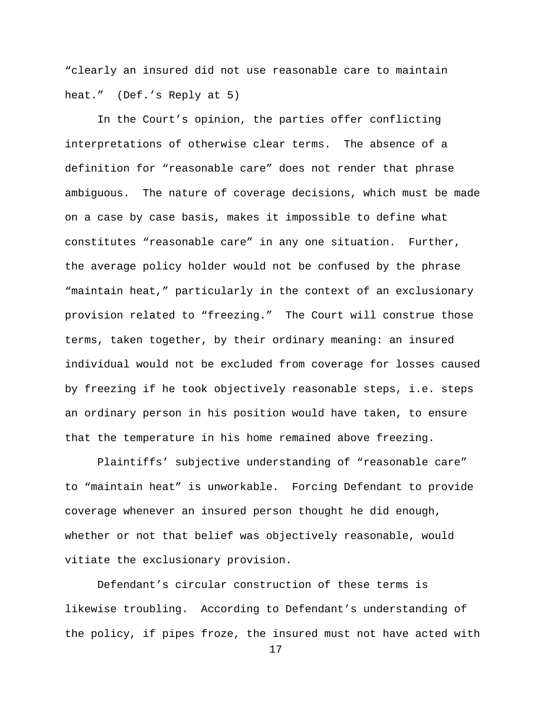"clearly an insured did not use reasonable care to maintain heat." (Def.'s Reply at 5)

In the Court's opinion, the parties offer conflicting interpretations of otherwise clear terms. The absence of a definition for "reasonable care" does not render that phrase ambiguous. The nature of coverage decisions, which must be made on a case by case basis, makes it impossible to define what constitutes "reasonable care" in any one situation. Further, the average policy holder would not be confused by the phrase "maintain heat," particularly in the context of an exclusionary provision related to "freezing." The Court will construe those terms, taken together, by their ordinary meaning: an insured individual would not be excluded from coverage for losses caused by freezing if he took objectively reasonable steps, i.e. steps an ordinary person in his position would have taken, to ensure that the temperature in his home remained above freezing.

Plaintiffs' subjective understanding of "reasonable care" to "maintain heat" is unworkable. Forcing Defendant to provide coverage whenever an insured person thought he did enough, whether or not that belief was objectively reasonable, would vitiate the exclusionary provision.

Defendant's circular construction of these terms is likewise troubling. According to Defendant's understanding of the policy, if pipes froze, the insured must not have acted with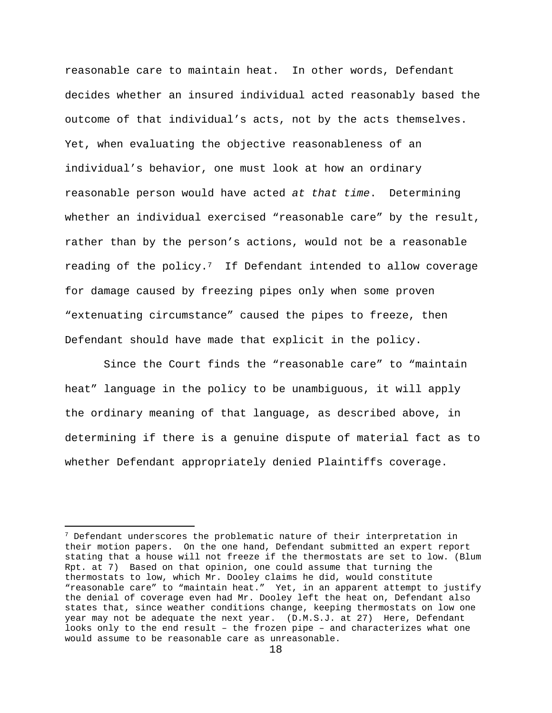reasonable care to maintain heat. In other words, Defendant decides whether an insured individual acted reasonably based the outcome of that individual's acts, not by the acts themselves. Yet, when evaluating the objective reasonableness of an individual's behavior, one must look at how an ordinary reasonable person would have acted at that time. Determining whether an individual exercised "reasonable care" by the result, rather than by the person's actions, would not be a reasonable reading of the policy.<sup>7</sup> If Defendant intended to allow coverage for damage caused by freezing pipes only when some proven "extenuating circumstance" caused the pipes to freeze, then Defendant should have made that explicit in the policy.

 Since the Court finds the "reasonable care" to "maintain heat" language in the policy to be unambiguous, it will apply the ordinary meaning of that language, as described above, in determining if there is a genuine dispute of material fact as to whether Defendant appropriately denied Plaintiffs coverage.

 $7$  Defendant underscores the problematic nature of their interpretation in their motion papers. On the one hand, Defendant submitted an expert report stating that a house will not freeze if the thermostats are set to low. (Blum Rpt. at 7) Based on that opinion, one could assume that turning the thermostats to low, which Mr. Dooley claims he did, would constitute "reasonable care" to "maintain heat." Yet, in an apparent attempt to justify the denial of coverage even had Mr. Dooley left the heat on, Defendant also states that, since weather conditions change, keeping thermostats on low one year may not be adequate the next year. (D.M.S.J. at 27) Here, Defendant looks only to the end result – the frozen pipe – and characterizes what one would assume to be reasonable care as unreasonable.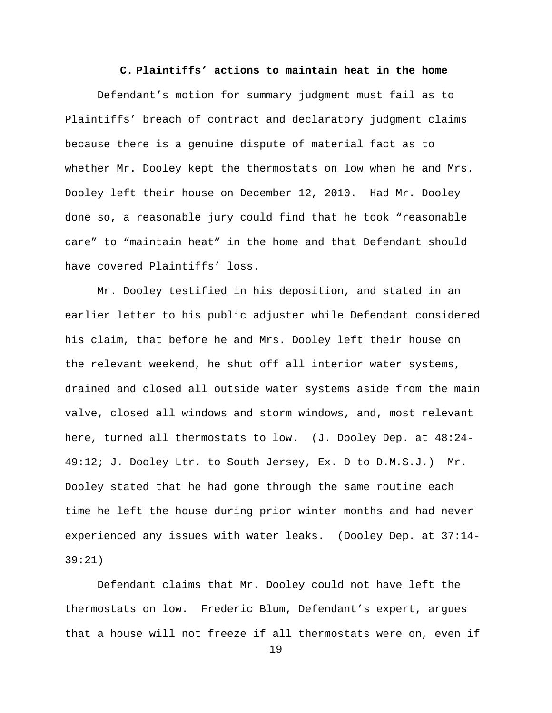## **C. Plaintiffs' actions to maintain heat in the home**

Defendant's motion for summary judgment must fail as to Plaintiffs' breach of contract and declaratory judgment claims because there is a genuine dispute of material fact as to whether Mr. Dooley kept the thermostats on low when he and Mrs. Dooley left their house on December 12, 2010. Had Mr. Dooley done so, a reasonable jury could find that he took "reasonable care" to "maintain heat" in the home and that Defendant should have covered Plaintiffs' loss.

Mr. Dooley testified in his deposition, and stated in an earlier letter to his public adjuster while Defendant considered his claim, that before he and Mrs. Dooley left their house on the relevant weekend, he shut off all interior water systems, drained and closed all outside water systems aside from the main valve, closed all windows and storm windows, and, most relevant here, turned all thermostats to low. (J. Dooley Dep. at 48:24- 49:12; J. Dooley Ltr. to South Jersey, Ex. D to D.M.S.J.) Mr. Dooley stated that he had gone through the same routine each time he left the house during prior winter months and had never experienced any issues with water leaks. (Dooley Dep. at 37:14- 39:21)

Defendant claims that Mr. Dooley could not have left the thermostats on low. Frederic Blum, Defendant's expert, argues that a house will not freeze if all thermostats were on, even if

```
19
```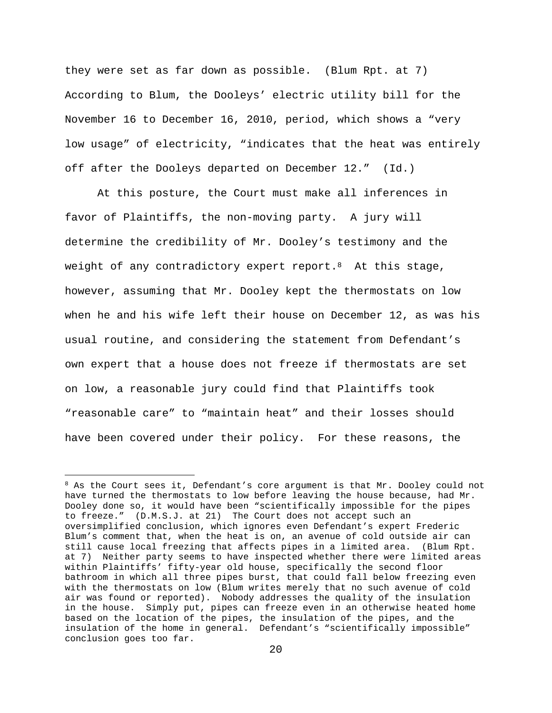they were set as far down as possible. (Blum Rpt. at 7) According to Blum, the Dooleys' electric utility bill for the November 16 to December 16, 2010, period, which shows a "very low usage" of electricity, "indicates that the heat was entirely off after the Dooleys departed on December 12." (Id.)

At this posture, the Court must make all inferences in favor of Plaintiffs, the non-moving party. A jury will determine the credibility of Mr. Dooley's testimony and the weight of any contradictory expert report.<sup>8</sup> At this stage, however, assuming that Mr. Dooley kept the thermostats on low when he and his wife left their house on December 12, as was his usual routine, and considering the statement from Defendant's own expert that a house does not freeze if thermostats are set on low, a reasonable jury could find that Plaintiffs took "reasonable care" to "maintain heat" and their losses should have been covered under their policy. For these reasons, the

È,

<sup>&</sup>lt;sup>8</sup> As the Court sees it, Defendant's core argument is that Mr. Dooley could not have turned the thermostats to low before leaving the house because, had Mr. Dooley done so, it would have been "scientifically impossible for the pipes to freeze." (D.M.S.J. at 21) The Court does not accept such an oversimplified conclusion, which ignores even Defendant's expert Frederic Blum's comment that, when the heat is on, an avenue of cold outside air can still cause local freezing that affects pipes in a limited area. (Blum Rpt. at 7) Neither party seems to have inspected whether there were limited areas within Plaintiffs' fifty-year old house, specifically the second floor bathroom in which all three pipes burst, that could fall below freezing even with the thermostats on low (Blum writes merely that no such avenue of cold air was found or reported). Nobody addresses the quality of the insulation in the house. Simply put, pipes can freeze even in an otherwise heated home based on the location of the pipes, the insulation of the pipes, and the insulation of the home in general. Defendant's "scientifically impossible" conclusion goes too far.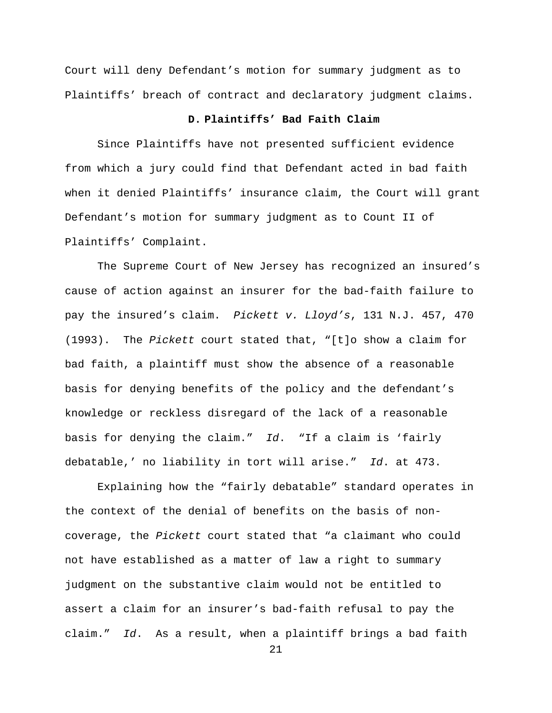Court will deny Defendant's motion for summary judgment as to Plaintiffs' breach of contract and declaratory judgment claims.

# **D. Plaintiffs' Bad Faith Claim**

 Since Plaintiffs have not presented sufficient evidence from which a jury could find that Defendant acted in bad faith when it denied Plaintiffs' insurance claim, the Court will grant Defendant's motion for summary judgment as to Count II of Plaintiffs' Complaint.

The Supreme Court of New Jersey has recognized an insured's cause of action against an insurer for the bad-faith failure to pay the insured's claim. Pickett v. Lloyd's, 131 N.J. 457, 470 (1993). The Pickett court stated that, "[t]o show a claim for bad faith, a plaintiff must show the absence of a reasonable basis for denying benefits of the policy and the defendant's knowledge or reckless disregard of the lack of a reasonable basis for denying the claim."  $Id.$  "If a claim is 'fairly debatable,' no liability in tort will arise." Id. at 473.

Explaining how the "fairly debatable" standard operates in the context of the denial of benefits on the basis of noncoverage, the Pickett court stated that "a claimant who could not have established as a matter of law a right to summary judgment on the substantive claim would not be entitled to assert a claim for an insurer's bad-faith refusal to pay the claim." Id. As a result, when a plaintiff brings a bad faith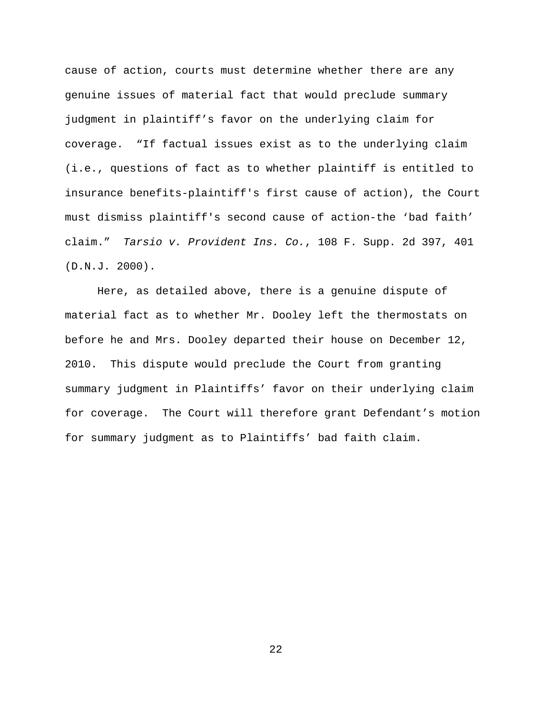cause of action, courts must determine whether there are any genuine issues of material fact that would preclude summary judgment in plaintiff's favor on the underlying claim for coverage. "If factual issues exist as to the underlying claim (i.e., questions of fact as to whether plaintiff is entitled to insurance benefits-plaintiff's first cause of action), the Court must dismiss plaintiff's second cause of action-the 'bad faith' claim." Tarsio v. Provident Ins. Co., 108 F. Supp. 2d 397, 401 (D.N.J. 2000).

Here, as detailed above, there is a genuine dispute of material fact as to whether Mr. Dooley left the thermostats on before he and Mrs. Dooley departed their house on December 12, 2010. This dispute would preclude the Court from granting summary judgment in Plaintiffs' favor on their underlying claim for coverage. The Court will therefore grant Defendant's motion for summary judgment as to Plaintiffs' bad faith claim.